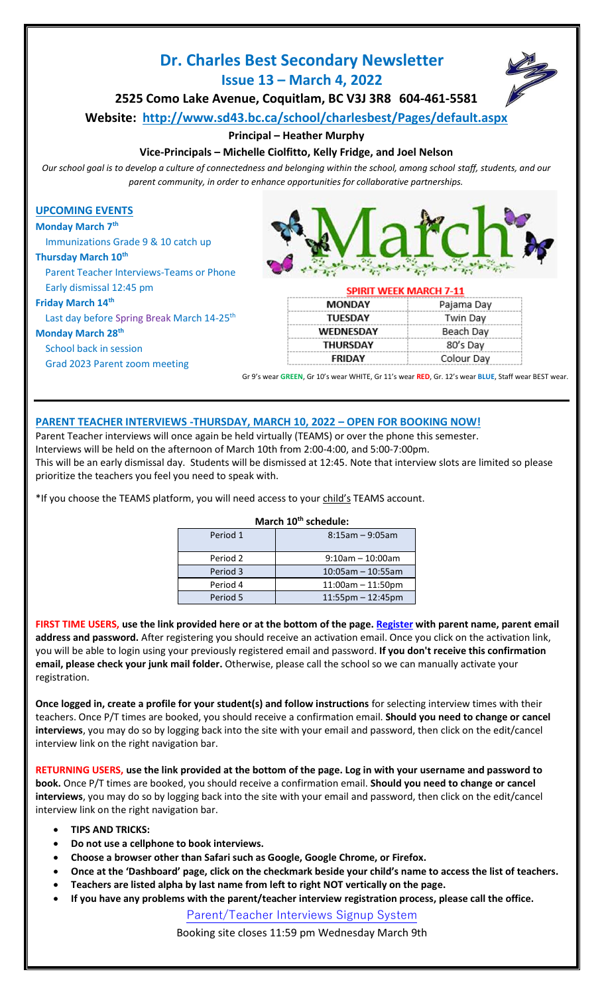# **Dr. Charles Best Secondary Newsletter Issue 13 – March 4, 2022**



**2525 Como Lake Avenue, Coquitlam, BC V3J 3R8 604-461-5581**

**Website: <http://www.sd43.bc.ca/school/charlesbest/Pages/default.aspx>**

## **Principal – Heather Murphy**

## **Vice-Principals – Michelle Ciolfitto, Kelly Fridge, and Joel Nelson**

*Our school goal is to develop a culture of connectedness and belonging within the school, among school staff, students, and our parent community, in order to enhance opportunities for collaborative partnerships.*

### **UPCOMING EVENTS**

**Monday March 7th**

Immunizations Grade 9 & 10 catch up

#### **Thursday March 10th**

Parent Teacher Interviews-Teams or Phone

#### Early dismissal 12:45 pm

#### **Friday March 14th**

Last day before Spring Break March 14-25<sup>th</sup> **Monday March 28th**

School back in session

Grad 2023 Parent zoom meeting



#### **SPIRIT WEEK MARCH 7-11**

| <b>MONDAY</b>    | Pajama Day |
|------------------|------------|
| <b>TUESDAY</b>   | Twin Day   |
| <b>WEDNESDAY</b> | Beach Day  |
| <b>THURSDAY</b>  | 80's Day   |
| <b>FRIDAY</b>    | Colour Day |

Gr 9's wear **GREEN**, Gr 10's wear WHITE, Gr 11's wear **RED**, Gr. 12's wear **BLUE**, Staff wear BEST wear.

## **PARENT TEACHER INTERVIEWS -THURSDAY, MARCH 10, 2022 – OPEN FOR BOOKING NOW!**

Parent Teacher interviews will once again be held virtually (TEAMS) or over the phone this semester. Interviews will be held on the afternoon of March 10th from 2:00-4:00, and 5:00-7:00pm. This will be an early dismissal day. Students will be dismissed at 12:45. Note that interview slots are limited so please prioritize the teachers you feel you need to speak with.

\*If you choose the TEAMS platform, you will need access to your child's TEAMS account.

## **March 10th schedule:** Period 1 8:15am – 9:05am Period 2 | 9:10am – 10:00am Period 3 10:05am – 10:55am Period 4 11:00am – 11:50pm Period 5 11:55pm – 12:45pm

FIRST TIME USERS, use the link provided here or at the bottom of the page. [Register](http://charlesbestsecondary.datasubmit.ca/interviews/register.php) with parent name, parent email **address and password.** After registering you should receive an activation email. Once you click on the activation link, you will be able to login using your previously registered email and password. **If you don't receive this confirmation email, please check your junk mail folder.** Otherwise, please call the school so we can manually activate your

**Once logged in, create a profile for your student(s) and follow instructions** for selecting interview times with their teachers. Once P/T times are booked, you should receive a confirmation email. **Should you need to change or cancel interviews**, you may do so by logging back into the site with your email and password, then click on the edit/cancel interview link on the right navigation bar.

**RETURNING USERS, use the link provided at the bottom of the page. Log in with your username and password to book.** Once P/T times are booked, you should receive a confirmation email. **Should you need to change or cancel interviews**, you may do so by logging back into the site with your email and password, then click on the edit/cancel interview link on the right navigation bar.

• **TIPS AND TRICKS:**

registration.

- **Do not use a cellphone to book interviews.**
- **Choose a browser other than Safari such as Google, Google Chrome, or Firefox.**
- **Once at the 'Dashboard' page, click on the checkmark beside your child's name to access the list of teachers.**
- **Teachers are listed alpha by last name from left to right NOT vertically on the page.**
- **If you have any problems with the parent/teacher interview registration process, please call the office.**

[Parent/Teacher Interviews Signup System](http://charlesbestsecondary.datasubmit.ca/interviews)

Booking site closes 11:59 pm Wednesday March 9th